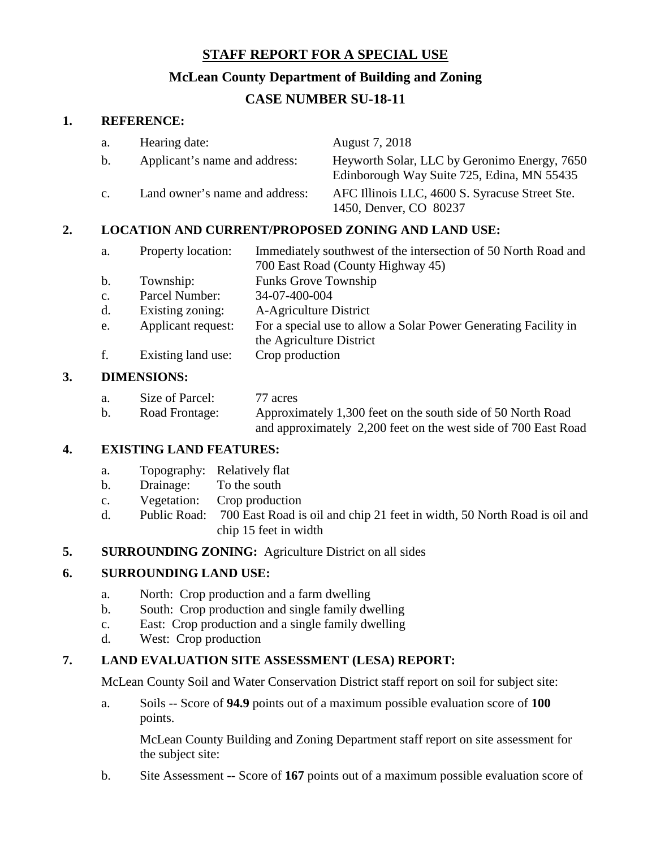# **STAFF REPORT FOR A SPECIAL USE**

# **McLean County Department of Building and Zoning**

# **CASE NUMBER SU-18-11**

## **1. REFERENCE:**

| a.                                                        | Hearing date:                  | August 7, 2018                                                                             |
|-----------------------------------------------------------|--------------------------------|--------------------------------------------------------------------------------------------|
| b.                                                        | Applicant's name and address:  | Heyworth Solar, LLC by Geronimo Energy, 7650<br>Edinborough Way Suite 725, Edina, MN 55435 |
| $\mathbf{c}$ .                                            | Land owner's name and address: | AFC Illinois LLC, 4600 S. Syracuse Street Ste.<br>1450, Denver, CO 80237                   |
| <b>LOCATION AND CURRENT/PROPOSED ZONING AND LAND USE:</b> |                                |                                                                                            |

- a. Property location: Immediately southwest of the intersection of 50 North Road and 700 East Road (County Highway 45) b. Township: Funks Grove Township c. Parcel Number: 34-07-400-004 d. Existing zoning: A-Agriculture District e. Applicant request: For a special use to allow a Solar Power Generating Facility in the Agriculture District
- f. Existing land use: Crop production

### **3. DIMENSIONS:**

| а. | Size of Parcel: | 77 acres                                                       |
|----|-----------------|----------------------------------------------------------------|
| b. | Road Frontage:  | Approximately 1,300 feet on the south side of 50 North Road    |
|    |                 | and approximately 2,200 feet on the west side of 700 East Road |

### **4. EXISTING LAND FEATURES:**

- a. Topography: Relatively flat
- b. Drainage: To the south
- c. Vegetation: Crop production
- d. Public Road: 700 East Road is oil and chip 21 feet in width, 50 North Road is oil and chip 15 feet in width
- **5. SURROUNDING ZONING:** Agriculture District on all sides

### **6. SURROUNDING LAND USE:**

- a. North: Crop production and a farm dwelling
- b. South: Crop production and single family dwelling
- c. East: Crop production and a single family dwelling
- d. West: Crop production

## **7. LAND EVALUATION SITE ASSESSMENT (LESA) REPORT:**

McLean County Soil and Water Conservation District staff report on soil for subject site:

a. Soils -- Score of **94.9** points out of a maximum possible evaluation score of **100** points.

McLean County Building and Zoning Department staff report on site assessment for the subject site:

b. Site Assessment -- Score of **167** points out of a maximum possible evaluation score of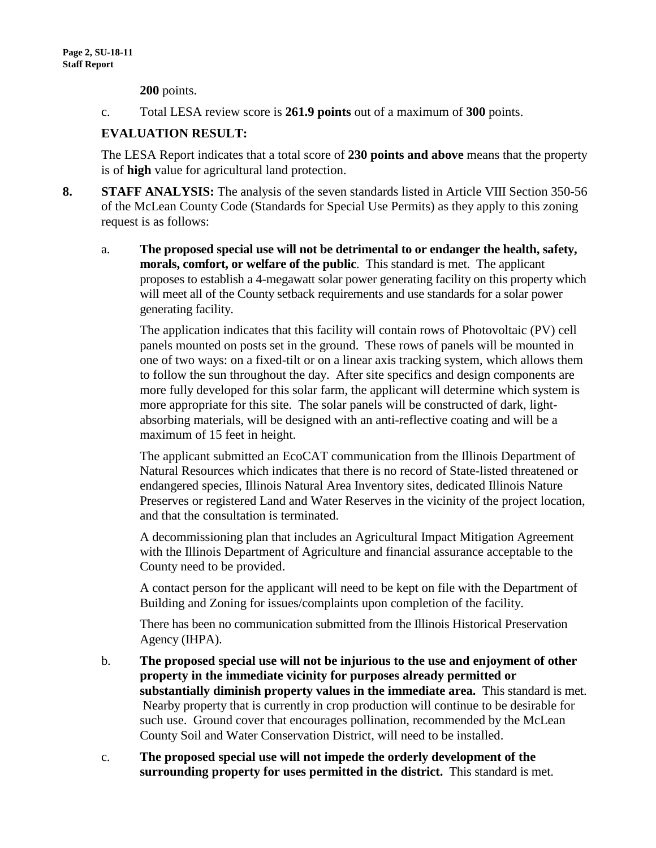**200** points.

c. Total LESA review score is **261.9 points** out of a maximum of **300** points.

## **EVALUATION RESULT:**

The LESA Report indicates that a total score of **230 points and above** means that the property is of **high** value for agricultural land protection.

- **8. STAFF ANALYSIS:** The analysis of the seven standards listed in Article VIII Section 350-56 of the McLean County Code (Standards for Special Use Permits) as they apply to this zoning request is as follows:
	- a. **The proposed special use will not be detrimental to or endanger the health, safety, morals, comfort, or welfare of the public**. This standard is met. The applicant proposes to establish a 4-megawatt solar power generating facility on this property which will meet all of the County setback requirements and use standards for a solar power generating facility.

The application indicates that this facility will contain rows of Photovoltaic (PV) cell panels mounted on posts set in the ground. These rows of panels will be mounted in one of two ways: on a fixed-tilt or on a linear axis tracking system, which allows them to follow the sun throughout the day. After site specifics and design components are more fully developed for this solar farm, the applicant will determine which system is more appropriate for this site. The solar panels will be constructed of dark, lightabsorbing materials, will be designed with an anti-reflective coating and will be a maximum of 15 feet in height.

The applicant submitted an EcoCAT communication from the Illinois Department of Natural Resources which indicates that there is no record of State-listed threatened or endangered species, Illinois Natural Area Inventory sites, dedicated Illinois Nature Preserves or registered Land and Water Reserves in the vicinity of the project location, and that the consultation is terminated.

A decommissioning plan that includes an Agricultural Impact Mitigation Agreement with the Illinois Department of Agriculture and financial assurance acceptable to the County need to be provided.

A contact person for the applicant will need to be kept on file with the Department of Building and Zoning for issues/complaints upon completion of the facility.

There has been no communication submitted from the Illinois Historical Preservation Agency (IHPA).

- b. **The proposed special use will not be injurious to the use and enjoyment of other property in the immediate vicinity for purposes already permitted or substantially diminish property values in the immediate area.** This standard is met. Nearby property that is currently in crop production will continue to be desirable for such use. Ground cover that encourages pollination, recommended by the McLean County Soil and Water Conservation District, will need to be installed.
- c. **The proposed special use will not impede the orderly development of the surrounding property for uses permitted in the district.** This standard is met.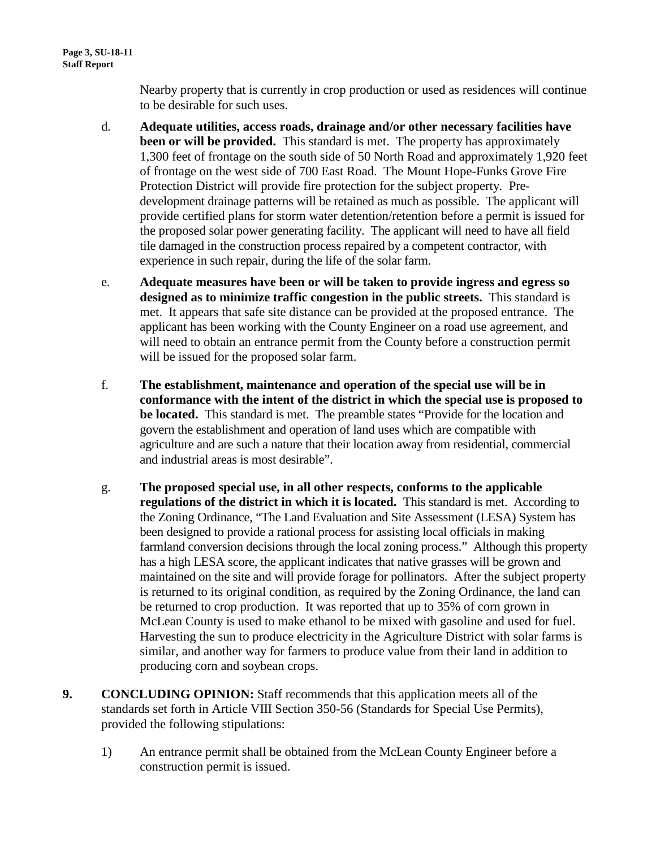Nearby property that is currently in crop production or used as residences will continue to be desirable for such uses.

- d. **Adequate utilities, access roads, drainage and/or other necessary facilities have been or will be provided.** This standard is met. The property has approximately 1,300 feet of frontage on the south side of 50 North Road and approximately 1,920 feet of frontage on the west side of 700 East Road. The Mount Hope-Funks Grove Fire Protection District will provide fire protection for the subject property. Predevelopment drainage patterns will be retained as much as possible. The applicant will provide certified plans for storm water detention/retention before a permit is issued for the proposed solar power generating facility. The applicant will need to have all field tile damaged in the construction process repaired by a competent contractor, with experience in such repair, during the life of the solar farm.
- e. **Adequate measures have been or will be taken to provide ingress and egress so designed as to minimize traffic congestion in the public streets.** This standard is met. It appears that safe site distance can be provided at the proposed entrance. The applicant has been working with the County Engineer on a road use agreement, and will need to obtain an entrance permit from the County before a construction permit will be issued for the proposed solar farm.
- f. **The establishment, maintenance and operation of the special use will be in conformance with the intent of the district in which the special use is proposed to be located.** This standard is met. The preamble states "Provide for the location and govern the establishment and operation of land uses which are compatible with agriculture and are such a nature that their location away from residential, commercial and industrial areas is most desirable".
- g. **The proposed special use, in all other respects, conforms to the applicable regulations of the district in which it is located.** This standard is met. According to the Zoning Ordinance, "The Land Evaluation and Site Assessment (LESA) System has been designed to provide a rational process for assisting local officials in making farmland conversion decisions through the local zoning process." Although this property has a high LESA score, the applicant indicates that native grasses will be grown and maintained on the site and will provide forage for pollinators. After the subject property is returned to its original condition, as required by the Zoning Ordinance, the land can be returned to crop production. It was reported that up to 35% of corn grown in McLean County is used to make ethanol to be mixed with gasoline and used for fuel. Harvesting the sun to produce electricity in the Agriculture District with solar farms is similar, and another way for farmers to produce value from their land in addition to producing corn and soybean crops.
- **9. CONCLUDING OPINION:** Staff recommends that this application meets all of the standards set forth in Article VIII Section 350-56 (Standards for Special Use Permits), provided the following stipulations:
	- 1) An entrance permit shall be obtained from the McLean County Engineer before a construction permit is issued.